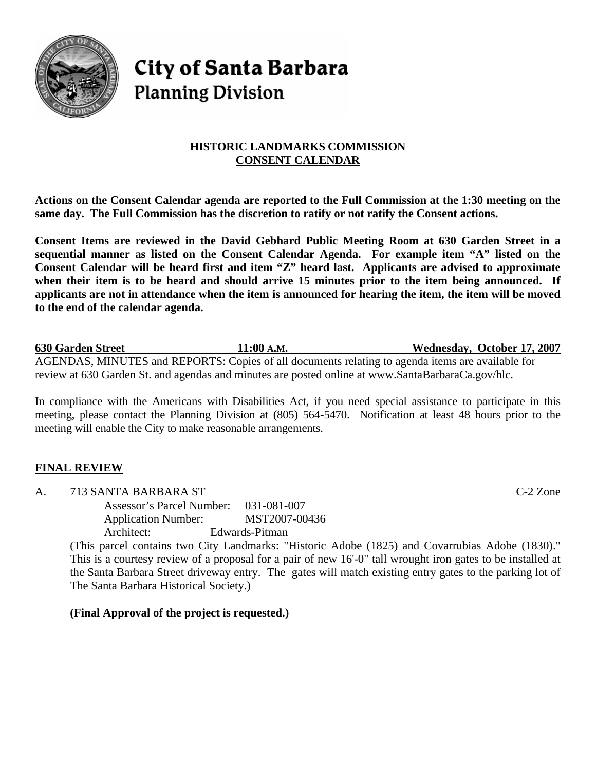

# **City of Santa Barbara Planning Division**

# **HISTORIC LANDMARKS COMMISSION CONSENT CALENDAR**

**Actions on the Consent Calendar agenda are reported to the Full Commission at the 1:30 meeting on the same day. The Full Commission has the discretion to ratify or not ratify the Consent actions.** 

**Consent Items are reviewed in the David Gebhard Public Meeting Room at 630 Garden Street in a sequential manner as listed on the Consent Calendar Agenda. For example item "A" listed on the Consent Calendar will be heard first and item "Z" heard last. Applicants are advised to approximate when their item is to be heard and should arrive 15 minutes prior to the item being announced. If applicants are not in attendance when the item is announced for hearing the item, the item will be moved to the end of the calendar agenda.** 

**630 Garden Street 11:00 A.M. Wednesday, October 17, 2007** AGENDAS, MINUTES and REPORTS: Copies of all documents relating to agenda items are available for review at 630 Garden St. and agendas and minutes are posted online at [www.SantaBarbaraCa.gov/](http://www.santabarbaraca.gov/)hlc.

In compliance with the Americans with Disabilities Act, if you need special assistance to participate in this meeting, please contact the Planning Division at (805) 564-5470. Notification at least 48 hours prior to the meeting will enable the City to make reasonable arrangements.

## **FINAL REVIEW**

A. 713 SANTA BARBARA ST C-2 Zone

Assessor's Parcel Number: 031-081-007 Application Number: MST2007-00436 Architect: Edwards-Pitman

(This parcel contains two City Landmarks: "Historic Adobe (1825) and Covarrubias Adobe (1830)." This is a courtesy review of a proposal for a pair of new 16'-0" tall wrought iron gates to be installed at the Santa Barbara Street driveway entry. The gates will match existing entry gates to the parking lot of The Santa Barbara Historical Society.)

**(Final Approval of the project is requested.)**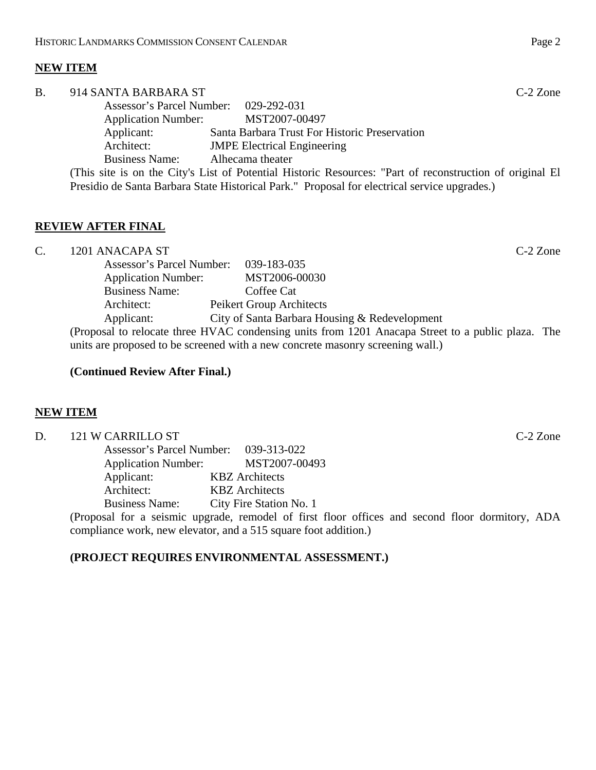# **NEW ITEM**

| Β. | 914 SANTA BARBARA ST                                                                                     |                                                                                              | $C-2$ Zone |
|----|----------------------------------------------------------------------------------------------------------|----------------------------------------------------------------------------------------------|------------|
|    | Assessor's Parcel Number: 029-292-031                                                                    |                                                                                              |            |
|    | <b>Application Number:</b>                                                                               | MST2007-00497                                                                                |            |
|    | Applicant:                                                                                               | Santa Barbara Trust For Historic Preservation                                                |            |
|    | Architect:                                                                                               | <b>JMPE Electrical Engineering</b>                                                           |            |
|    | <b>Business Name:</b>                                                                                    | Alhecama theater                                                                             |            |
|    | (This site is on the City's List of Potential Historic Resources: "Part of reconstruction of original El |                                                                                              |            |
|    |                                                                                                          | Presidio de Santa Barbara State Historical Park." Proposal for electrical service upgrades.) |            |

## **REVIEW AFTER FINAL**

C. 1201 ANACAPA ST C-2 Zone Assessor's Parcel Number: 039-183-035 Application Number: MST2006-00030 Business Name: Coffee Cat Architect: Peikert Group Architects Applicant: City of Santa Barbara Housing & Redevelopment (Proposal to relocate three HVAC condensing units from 1201 Anacapa Street to a public plaza. The units are proposed to be screened with a new concrete masonry screening wall.)

#### **(Continued Review After Final.)**

#### **NEW ITEM**

| D.                                                                                              | 121 W CARRILLO ST |                                        | $C-2$ Zone |  |
|-------------------------------------------------------------------------------------------------|-------------------|----------------------------------------|------------|--|
|                                                                                                 |                   | Assessor's Parcel Number: 039-313-022  |            |  |
|                                                                                                 |                   | Application Number: MST2007-00493      |            |  |
|                                                                                                 | Applicant:        | <b>KBZ</b> Architects                  |            |  |
|                                                                                                 | Architect:        | <b>KBZ</b> Architects                  |            |  |
|                                                                                                 |                   | Business Name: City Fire Station No. 1 |            |  |
| (Proposal for a seismic upgrade, remodel of first floor offices and second floor dormitory, ADA |                   |                                        |            |  |
| compliance work, new elevator, and a 515 square foot addition.)                                 |                   |                                        |            |  |

#### **(PROJECT REQUIRES ENVIRONMENTAL ASSESSMENT.)**